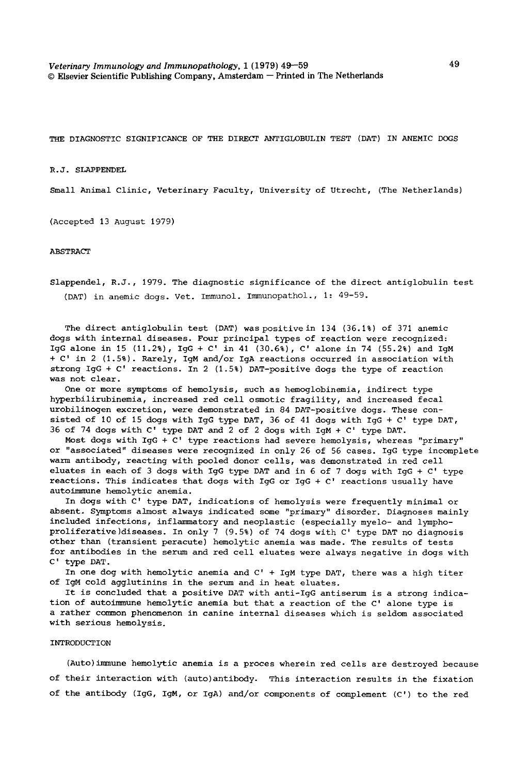*Veterinary Immunology and Immunopathology,* 1 (1979) 49--59 49 © Elsevier Scientific Publishing Company, Amsterdam -- Printed in The Netherlands

THE DIAGNOSTIC SIGNIFICANCE OF THE DIRECT ANTIGLOBULIN TEST (DAT) IN ANEMIC DOGS

R.J. SLAPPENDEL

Small Animal Clinic, Veterinary Faculty, University of Utrecht, (The Netherlands)

(Accepted 13 August 1979)

ABSTRACT

Slappendel, R.J., 1979. The diagnostic significance of the direct antiglobulin test (DAT) in anemic dogs. Vet. Immunol. Immunopathol., 1: 49-59.

The direct antiglobulin test (DAT) was positive in 134 (36.1%) of 371 anemic dogs with internal diseases. Four principal types of reaction were recognized: IgG alone in 15 (11.2%), IgG + C' in 41 (30.6%), C' alone in 74 (55.2%) and IgM + C' in 2 (1.5%). Rarely, IgM and/or IgA reactions occurred in association with strong IgG + C' reactions. In 2 (1.5%) DAT-positive dogs the type of reaction was not clear.

One or more symptoms of hemolysis, such as hemoglobinemia, indirect type hyperbilirubinemia, increased red cell osmotic fragility, and increased fecal urobilinogen excretion, were demonstrated in 84 DAT-positive dogs. These consisted of 10 of 15 dogs with IgG type DAT, 36 of 41 dogs with IgG + C' type DAT, 36 of 74 dogs with C' type DAT and 2 of 2 dogs with IgM + C' type DAT.

Most dogs with IgG + C' type reactions had severe hemolysis, whereas "primary" or "associated" diseases were recognized in only 26 of 56 cases. IgG type incomplete warm antibody, reacting with pooled donor cells, was demonstrated in red cell eluates in each of 3 dogs with IgG type DAT and in 6 of 7 dogs with IgG + C' type reactions. This indicates that dogs with IgG or IgG + C' reactions usually have autoimmune hemolytic anemia.

In dogs with C' type DAT, indications of hemolysis were frequently minimal or absent. Symptoms almost always indicated some "primary" disorder. Diagnoses mainly included infections, inflammatory and neoplastic (especially myelo- and lymphoproliferative)diseases. In only 7 (9.5%) of 74 dogs with C' type DAT no diagnosis other than (transient peracute) hemolytic anemia was made. The results of tests for antibodies in the serum and red cell eluates were always negative in dogs with C' type DAT.

In one dog with hemolytic anemia and C' + IgM type DAT, there was a high titer of IgM cold agglutinins in the serum and in heat eluates.

It is concluded that a positive DAT with anti-IgG antiserum is a strong indication of autoimmune hemolytic anemia but that a reaction of the C' alone type is a rather common phenomenon in canine internal diseases which is seldom associated with serious hemolysis.

#### INTRODUCTION

(Auto)immune hemolytic anemia is a proces wherein red cells are destroyed because of their interaction with (auto)antibody. This interaction results in the fixation of the antibody (IgG, IgM, or IgA) and/or components of complement (C') to the red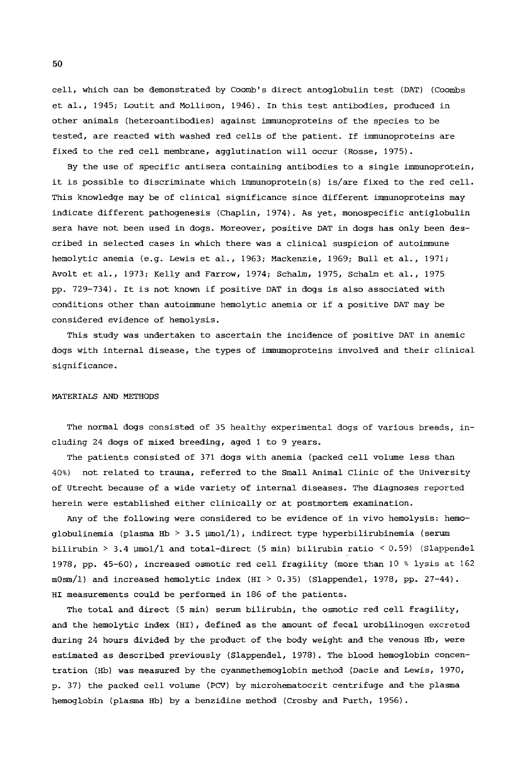cell, which can be demonstrated by Coomb's direct antoglobulin test (DAT) (Coombs et al., 1945; Loutit and Mollison, 1946). In this test antibodies, produced in other animals (heteroantibodies) against immunoproteins of the species to be tested, are reacted with washed red cells of the patient. If immunoproteins are fixed to the red cell membrane, agglutination will occur (Rosse, 1975).

By the use of specific antisera containing antibodies to a single immunoprotein, it is possible to discriminate which immunoprotein(s) is/are fixed to the red cell. This knowledge may be of clinical significance since different immunoproteins may indicate different pathogenesis (Chaplin, 1974). As yet, monospecific antiglobulin sera have not been used in dogs. Moreover, positive DAT in dogs has only been described in selected cases in which there was a clinical suspicion of autoimmune hemolytic anemia (e.g. Lewis et al., 1963; Mackenzie, 1969; Bull et al., 1971; Avolt et al., 1973; Kelly and Farrow, 1974; Schalm, 1975, Schalm et al., 1975 pp. 729-734). It is not known if positive DAT in dogs is also associated with conditions other than autoimmune hemolytic anemia or if a positive DAT may be considered evidence of hemolysis.

This study was undertaken to ascertain the incidence of positive DAT in anemic dogs with internal disease, the types of immumoproteins involved and their clinical significance.

### MATERIALS AND METHODS

The normal dogs consisted of 35 healthy experimental dogs of various breeds, including 24 dogs of mixed breeding, aged 1 to 9 years.

The patients consisted of 371 dogs with anemia (packed cell volume less than 40%) not related to trauma, referred to the Small Animal Clinic of the University of Utrecht because of a wide variety of internal diseases. The diagnoses reported herein were established either clinically or at postmortem examination.

Any of the following were considered to be evidence of in vivo hemolysis: hemoglobulinemia (plasma Hb > 3.5  $\mu$ mol/1), indirect type hyperbilirubinemia (serum bilirubin > 3.4  $\mu$ mol/l and total-direct (5 min) bilirubin ratio < 0.59) (Slappendel 1978, pp. 45-60), increased osmotic red cell fragility (more than 10 % lysis at 162 m0sm/l) and increased hemolytic index (HI > 0.35) (Slappendel, 1978, pp. 27-44). HI measurements could be performed in 186 of the patients.

The total and direct (5 min) serum bilirubin, the osmotic red cell fragility, and the hemolytic index (HI), defined as the amount of fecal urobilinogen excreted during 24 hours divided by the product of the body weight and the venous Hb, were estimated as described previously (Slappendel, 1978). The blood hemoglobin concentration (Hb) was measured by the cyanmethemoglobin method (Dacie and Lewis, 1970, p. 37) the packed cell volume (PCV) by microhematocrit centrifuge and the plasma hemoglobin (plasma Hb) by a benzidine method (Crosby and Furth, 1956).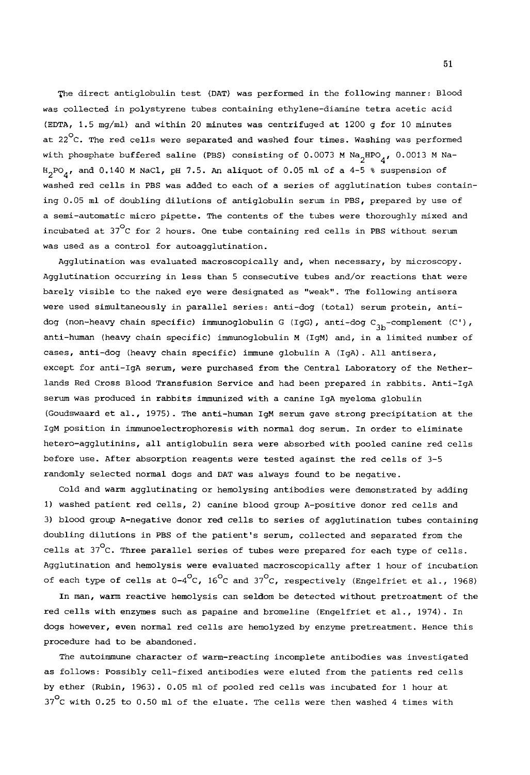The direct antiglobulin test (DAT) was performed in the following manner: Blood was collected in polystyrene tubes containing ethylene-diamine tetra acetic acid (EDTA, 1.5 mg/ml) and within 20 minutes was centrifuged at 1200 g for 10 minutes at 22 $^{\circ}$ C. The red cells were separated and washed four times. Washing was performed with phosphate buffered saline (PBS) consisting of 0.0073 M Na<sub>2</sub>HPO<sub>4</sub>, 0.0013 M Na- $H_2PO_4$ , and 0.140 M NaCl, pH 7.5. An aliquot of 0.05 ml of a 4-5 % suspension of washed red cells in PBS was added to each of a series of agglutination tubes containing 0.05 ml of doubling dilutions of antiglobulin serum in PBS, prepared by use of a semi-automatic micro pipette. The contents of the tubes were thoroughly mixed and incubated at  $37^{\circ}$ C for 2 hours. One tube containing red cells in PBS without serum was used as a control for autoagglutination.

Agglutination was evaluated macroscopically and, when necessary, by microscopy. Agglutination Occurring in less than 5 consecutive tubes and/or reactions that were barely visible to the naked eye were designated as "weak". The following antisera were used simultaneously in parallel series: anti-dog (total) serum protein, antidog (non-heavy chain specific) immunoglobulin G (IgG), anti-dog  $C_{3b}$ -complement (C'), anti-human (heavy chain specific) immunoglobulin M (IgM) and, in a limited number of cases, anti-dog (heavy chain specific) immune globulin A (IgA). All antisera, except for anti-IgA serum, were purchased from the Central Laboratory of the Netherlands Red Cross Blood Transfusion Service and had been prepared in rabbits. Anti-IgA serum was produced in rabbits immunized with a canine IgA myeloma globulin (Goudswaard et al., 1975). The anti-human IgM serum gave strong precipitation at the IgM position in immunoelectrophoresis with normal dog serum. In order to eliminate hetero-agglutinins, all antiglobulin sera were absorbed with pooled canine red cells before use. After absorption reagents were tested against the red cells of 3-5 randomly selected normal dogs and DAT was always found to be negative.

Cold and warm agglutinating or hemolysing antibodies were demonstrated by adding i) washed patient red cells, 2) canine blood group A-positive donor red cells and 3) blood group A-negative donor red cells to series of agglutination tubes containing doubling dilutions in PBS of the patient's serum, collected and separated from the cells at  $37^{\circ}$ C. Three parallel series of tubes were prepared for each type of cells. Agglutination and hemolysis were evaluated macroscopically after i hour of incubation of each type of cells at  $0-4^{\circ}$ C, 16<sup>o</sup>C and 37<sup>o</sup>C, respectively (Engelfriet et al., 1968)

In man, warm reactive hemolysis can seldom be detected without pretreatment of the red cells with enzymes such as papaine and bromeline (Engelfriet et al., 1974). In dogs however, even normal red cells are hemolyzed by enzyme pretreatment. Hence this procedure had to be abandoned.

The autoimmune character of warm-reacting incomplete antibodies was investigated as follows: Possibly cell-fixed antibodies were eluted from the patients red cells by ether (Rubin, 1963). 0.05 ml of pooled red cells was incubated for i hour at  $37^{\circ}$ C with 0.25 to 0.50 ml of the eluate. The cells were then washed 4 times with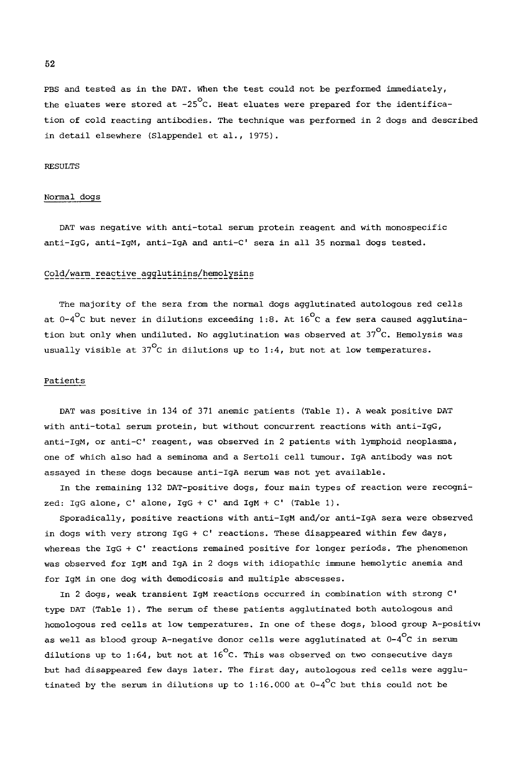PBS and tested as in the DAT. When the test could not be performed immediately, the eluates were stored at  $-25^{\circ}$ C. Heat eluates were prepared for the identification of cold reacting antibodies. The technique was performed in 2 dogs and described in detail elsewhere (Slappendel et al., 1975).

## RESULTS

# Normal dogs

DAT was negative with anti-total serum protein reagent and with monospecific anti-IgG, anti-IgM, anti-IgA and anti-C' sera in all 35 normal dogs tested.

# Cold/warm reactive agglutinins/hemolysins

The majority of the sera from the normal dogs agglutinated autologous red cells at  $0-4^\circ$ C but never in dilutions exceeding 1:8. At  $16^\circ$ C a few sera caused agglutination but only when undiluted. No agglutination was observed at  $37^{\circ}$ C. Hemolysis was usually visible at 37 $^{\circ}$ C in dilutions up to 1:4, but not at low temperatures.

# Patients

DAT was positive in 134 of 371 anemic patients (Table I). A weak positive DAT with anti-total serum protein, but without concurrent reactions with anti-IgG, anti-IgM, or anti-C' reagent, was observed in 2 patients with lymphoid neoplasma, one of which also had a seminoma and a Sertoli cell tumour. IgA antibody was not assayed in these dogs because anti-IgA serum was not yet available.

In the remaining 132 DAT-positive dogs, four main types of reaction were recognized: IgG alone, C' alone, IgG + C' and IgM + C' (Table i).

Sporadically, positive reactions with anti-IgM and/or anti-IgA sera were observed in dogs with very strong IgG + C' reactions. These disappeared within few days, whereas the IgG + C' reactions remained positive for longer periods. The phenomenon was observed for IgM and IgA in 2 dogs with idiopathic immune hemolytic anemia and for IgM in one dog with demodicosis and multiple abscesses.

In 2 dogs, weak transient IgM reactions occurred in combination with strong C' type DAT (Table I). The serum of these patients agglutinated both autologous and homologous red cells at low temperatures. In one of these dogs, blood group A-positiw as well as blood group A-negative donor cells were agglutinated at  $0\texttt{-}4\mathrm{^{\mathrm{O}}C}$  in serum dilutions up to 1:64, but not at 16<sup>o</sup>C. This was observed on two consecutive days but had disappeared few days later. The first day, autologous red cells were agglutinated by the serum in dilutions up to 1:16.000 at  $0-4^{\circ}$ C but this could not be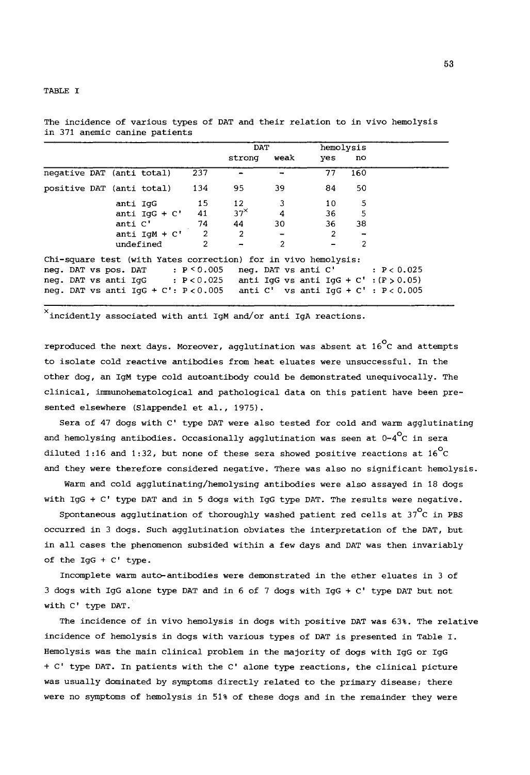TABLE I

|                                                                |                 |                | DAT            |                |              | hemolysis |                                            |
|----------------------------------------------------------------|-----------------|----------------|----------------|----------------|--------------|-----------|--------------------------------------------|
|                                                                |                 |                | strong         | weak           | yes          | no        |                                            |
| negative DAT (anti total)                                      |                 | 237            |                |                | 77           | 160       |                                            |
| positive DAT (anti total)                                      |                 | 134            | 95             | 39             | 84           | 50        |                                            |
|                                                                | anti IqG        | 15             | 12             | 3              | 10           | 5         |                                            |
|                                                                | anti $IGG + C'$ | 41             | $37^{\times}$  | 4              | 36           | 5         |                                            |
|                                                                | anti C'         | 74             | 44             | 30             | 36           | 38        |                                            |
|                                                                | anti $IqM + C'$ | $\overline{2}$ | $\overline{2}$ |                | $\mathbf{2}$ |           |                                            |
|                                                                | undefined       | $\overline{2}$ |                | $\overline{2}$ |              | 2         |                                            |
| Chi-square test (with Yates correction) for in vivo hemolysis: |                 |                |                |                |              |           |                                            |
| neg. DAT vs pos. DAT : $P < 0.005$                             |                 |                |                |                |              |           | neq. DAT vs anti $C'$ : $P < 0.025$        |
| neg. DAT vs anti $IqG$ : $P < 0.025$                           |                 |                |                |                |              |           | anti IgG vs anti IgG + C' : $(F > 0.05)$   |
| neg. DAT vs anti $IqG + C'$ : $P < 0.005$                      |                 |                |                |                |              |           | anti $C'$ vs anti IqG + $C'$ : $P < 0.005$ |

The incidence of various types of DAT and their relation to in vivo hemolysis in 371 anemic canine patients

 $^{\times}$ incidently associated with anti IgM and/or anti IgA reactions.

reproduced the next days. Moreover, agglutination was absent at  $16^{\circ}$ C and attempts to isolate cold reactive antibodies from heat eluates were unsuccessful. In the other dog, an IgM type cold autoantibody could be demonstrated unequivocally. The clinical, imunohematological and pathological data on this patient have been presented elsewhere (Slappendel et al., 1975).

Sera of 47 dogs with C' type DAT were also tested for cold and warm agglutinating and hemolysing antibodies. Occasionally agglutination was seen at  $0-4$ <sup>O</sup>C in sera diluted 1:16 and 1:32, but none of these sera showed positive reactions at  $16^{\circ}$ C and they were therefore considered negative. There was also no significant hemolysis.

Warm and cold agglutinating/hemolysing antibodies were also assayed in 18 dogs with IgG + C' type DAT and in 5 dogs with IgG type DAT. The results were negative.

Spontaneous agglutination of thoroughly washed patient red cells at  $37^{\circ}$ C in PBS occurred in 3 dogs. Such agglutination obviates the interpretation of the DAT, but in all cases the phenomenon subsided within a few days and DAT was then invariably of the IgG + C' type.

Incomplete warm auto-antibodies were demonstrated in the ether eluates in 3 of 3 dogs with IgG alone type DAT and in 6 of 7 dogs with IgG + C' type DAT but not with C' type DAT.

The incidence of in vivo hemolysis in dogs with positive DAT was 63%. The relative incidence of hemolysis in dogs with various types of DAT is presented in Table I. Hemolysis was the main clinical problem in the majority of dogs with IgG or IgG + C' type DAT. In patients with the C' alone type reactions, the clinical picture was usually dominated by symptoms directly related to the primary disease; there were no symptoms of hemolysis in 51% of these dogs and in the remainder they were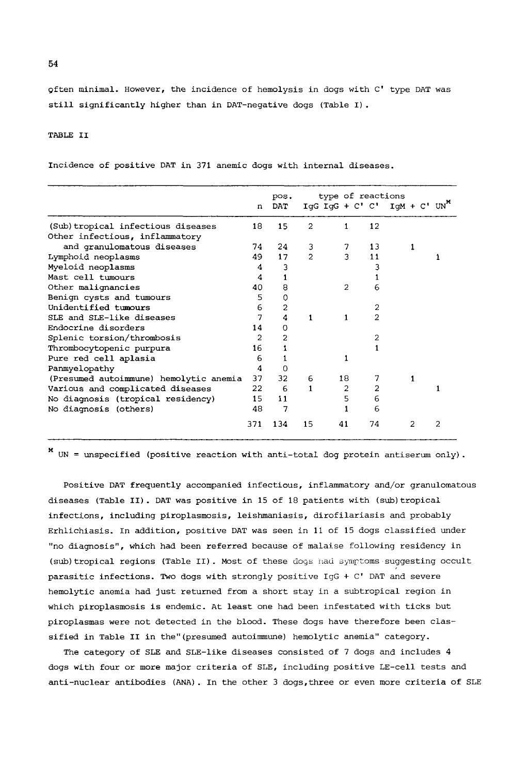Qften minimal. However, the incidence of hemolysis in dogs with C' type DAT was still significantly higher than in DAT-negative dogs (Table I).

# TABLE II

Incidence of positive DAT in 371 anemic dogs with internal diseases.

|                                        | n              | pos.<br>DAT |                | type of reactions |                | IgG $IgG + C' C'$ IgM + $C'$ UN <sup>X</sup> |   |
|----------------------------------------|----------------|-------------|----------------|-------------------|----------------|----------------------------------------------|---|
| (Sub) tropical infectious diseases     | 18             | 15          | $\overline{2}$ | 1                 | 12             |                                              |   |
| Other infectious, inflammatory         |                |             |                |                   |                |                                              |   |
| and granulomatous diseases             | 74             | 24          | 3              | 7                 | 13             |                                              |   |
| Lymphoid neoplasms                     | 49             | 17          | $\overline{2}$ | 3                 | 11             |                                              |   |
| Myeloid neoplasms                      | 4              | 3           |                |                   |                |                                              |   |
| Mast cell tumours                      | 4              |             |                |                   |                |                                              |   |
| Other malignancies                     | 40             | 8           |                | $\overline{2}$    | 6              |                                              |   |
| Benign cysts and tumours               | 5              | 0           |                |                   |                |                                              |   |
| Unidentified tumours                   | 6              | 2           |                |                   | 2              |                                              |   |
| SLE and SLE-like diseases              | 7              | 4           | 1              | 1                 | $\overline{2}$ |                                              |   |
| Endocrine disorders                    | 14             | 0           |                |                   |                |                                              |   |
| Splenic torsion/thrombosis             | $\overline{2}$ | 2           |                |                   | 2              |                                              |   |
| Thrombocytopenic purpura               | 16             |             |                |                   |                |                                              |   |
| Pure red cell aplasia                  | 6              |             |                | 1                 |                |                                              |   |
| Panmyelopathy                          | 4              | $\Omega$    |                |                   |                |                                              |   |
| (Presumed autoimmune) hemolytic anemia | 37             | 32          | 6              | 18                | 7              |                                              |   |
| Various and complicated diseases       | 22.            | 6           | 1              | 2                 | 2              |                                              |   |
| No diagnosis (tropical residency)      | 15             | 11          |                | 5                 | 6              |                                              |   |
| No diagnosis (others)                  | 48             | 7           |                |                   | 6              |                                              |   |
|                                        | 371            | 134         | 15             | 41                | 74             |                                              | 2 |

x UN = unspecified (positive reaction with anti-total dog protein antiserum only).

Positive DAT frequently accompanied infectious, inflammatory and/or granulomatous diseases (Table II). DAT was positive in 15 of 18 patients with (sub)tropical infections, including piroplasmosis, leishmaniasis, dirofilariasis and probably Erhlichiasis. In addition, positive DAT was seen in ii of 15 dogs classified under "no diagnosis", which had been referred because of malaise following residency in (sub) tropical regions (Table II). Most of these dogs had symptoms suggesting occult parasitic infections. Two dogs with strongly positive IgG + C' DAT and severe hemolytic anemia had just returned from a short stay in a subtropical region in which piroplasmosis is endemic. At least one had been infestated with ticks but piroplasmas were not detected in the blood. These dogs have therefore been classified in Table II in the"(presumed autoimmune) hemolytic anemia" category.

The category of SLE and SLE-like diseases consisted of 7 dogs and includes 4 dogs with four or more major criteria of SLE, including positive LE-cell tests and anti-nuclear antibodies (ANA). In the other 3 dogs,three or even more criteria of SLE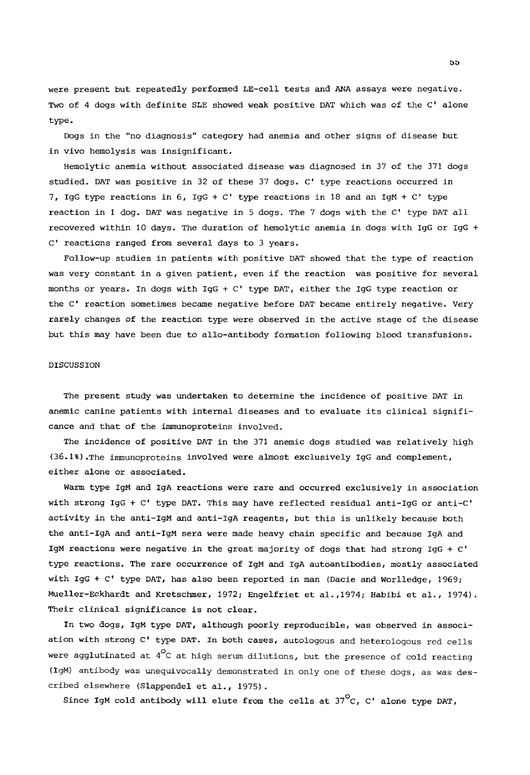were present but repeatedly performed LE-cell tests and ANA assays were negative. Two of 4 dogs with definite SLE showed weak positive DAT which was of the C' alone type.

Dogs in the "no diagnosis" category had anemia and other signs of disease but in vivo hemolysis was insignificant.

Hemolytic anemia without associated disease was diagnosed in 37 of the 371 dogs studied. DAT was positive in 32 of these 37 dogs. C' type reactions occurred in 7, IgG type reactions in 6, IgG +  $C'$  type reactions in 18 and an IgM +  $C'$  type reaction in 1 dog. DAT was negative in 5 dogs. The 7 dogs with the C' type DAT all recovered within l0 days. The duration of hemolytic anemia in dogs with IgG or IgG + C' reactions ranged from several days to 3 years.

Follow-up studies in patients with positive DAT showed that the type of reaction was very constant in a given patient, even if the reaction was positive for several months or years. In dogs with IgG + C' type DAT, either the IgG type reaction or the C' reaction sometimes became negative before DAT became entirely negative. Very rarely changes of the reaction type were observed in the active stage of the disease but this may have been due to allo-antibody formation following blood transfusions.

## DISCUSSION

The present study was undertaken to determine the incidence of positive DAT in anemic canine patients with internal diseases and to evaluate its clinical significance and that of the immunoproteins involved.

The incidence of positive DAT in the 371 anemic dogs studied was relatively high (36.1%).The immunoproteins involved were almost exclusively IgG and complement, either alone or associated.

Warm type IgM and IgA reactions were rare and occurred exclusively in association with strong IgG + C' type DAT. This may have reflected residual anti-IgG or anti-C' activity in the anti-IgM and anti-IgA reagents, but this is unlikely because both the anti-IgA and anti-lgM sera were made heavy chain specific and because IgA and IgM reactions were negative in the great majority of dogs that had strong IgG + C' type reactions. The rare occurrence of IgM and IgA autoantibodies, mostly associated with IgG + C' type DAT, has also been reported in man (Dacie and Worlledge, 1969; Mueller-Eckhardt and Kretschmer, 1972; Engelfriet et ai.,1974; Habibi et al., 1974). Their clinical significance is not clear.

In two dogs, IgM type DAT, although poorly reproducible, was observed in association with strong C' type DAT. In both cases, autologous and heterologous red cells were agglutinated at *4°C* at high serum dilutions, but the presence of cold reacting (IgM) antibody was unequivocally demonstrated in only one of these dogs, as was described elsewhere (Slappendel et al., 1975).

Since IgM cold antibody will elute from the cells at  $37^{\circ}$ C, C' alone type DAT,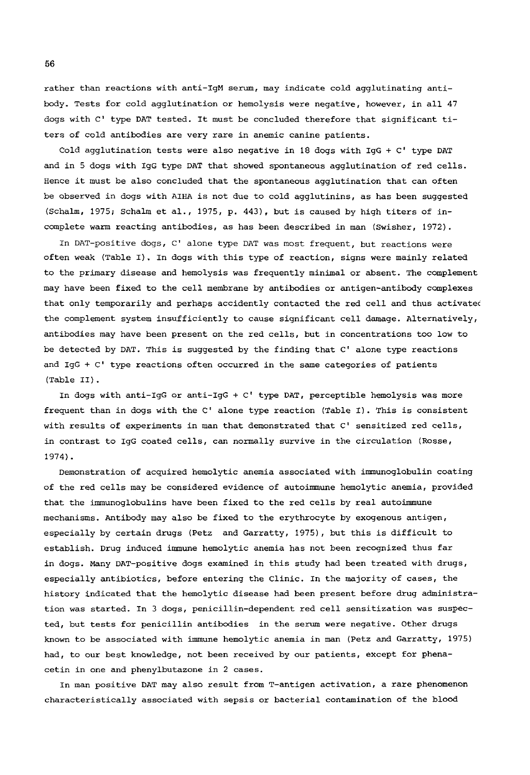rather than reactions with anti-IgM serum, may indicate cold agglutinating antibody. Tests for cold agglutination or hemolysis were negative, however, in all 47 dogs with C' type DAT tested. It must be concluded therefore that significant titers of cold antibodies are very rare in anemic canine patients.

Cold agglutination tests were also negative in 18 dogs with IgG + C' type DAT and in 5 dogs with IgG type DAT that showed spontaneous agglutination of red cells. Hence it must be also concluded that the spontaneous agglutination that can often be observed in dogs with AIHA is not due to cold agglutinins, as has been suggested (Schalm, 1975; Schalm et al., 1975, p. 443), but is caused by high titers of incomplete warm reacting antibodies, as has been described in man (Swisher, 1972).

In DAT-positive dogs, C' alone type DAT was most frequent, but reactions were often weak (Table I). In dogs with this type of reaction, signs were mainly related to the primary disease and hemolysis was frequently minimal or absent. The complement may have been fixed to the cell membrane by antibodies or antigen-antibody complexes that only temporarily and perhaps accidently contacted the red cell and thus activated the complement system insufficiently to cause significant cell damage. Alternatively, antibodies may have been present on the red cells, but in concentrations too low to be detected by DAT. This is suggested by the finding that C' alone type reactions and IgG + C' type reactions often occurred in the same categories of patients (Table II).

In dogs with anti-IgG or anti-IgG + C' type DAT, perceptible hemolysis was more frequent than in dogs with the C' alone type reaction (Table I). This is consistent with results of experiments in man that demonstrated that C' sensitized red cells, in contrast to IgG coated cells, can normally survive in the circulation (Rosse, 1974).

Demonstration of acquired hemolytic anemia associated with immunoglobulin coating of the red cells may be considered evidence of autoimmune hemolytic anemia, provided that the immunoglobulins have been fixed to the red cells by real autoimmune mechanisms. Antibody may also be fixed to the erythrocyte by exogenous antigen, especially by certain drugs (Petz and Garratty, 1975), but this is difficult to establish. Drug induced immune hemolytic anemia has not been recognized thus far in dogs. Many DAT-positive dogs examined in this study had been treated with drugs, especially antibiotics, before entering the Clinic. In the majority of cases, the history indicated that the hemolytic disease had been present before drug administration was started. In 3 dogs, penicillin-dependent red cell sensitization was suspected, but tests for penicillin antibodies in the serum were negative. Other drugs known to be associated with immune hemolytic anemia in man (Petz and Garratty, 1975) had, to our best knowledge, not been received by our patients, except for phenacetin in one and phenylbutazone in 2 cases.

In man positive DAT may also result from T-antigen activation, a rare phenomenon characteristically associated with sepsis or bacterial contamination of the blood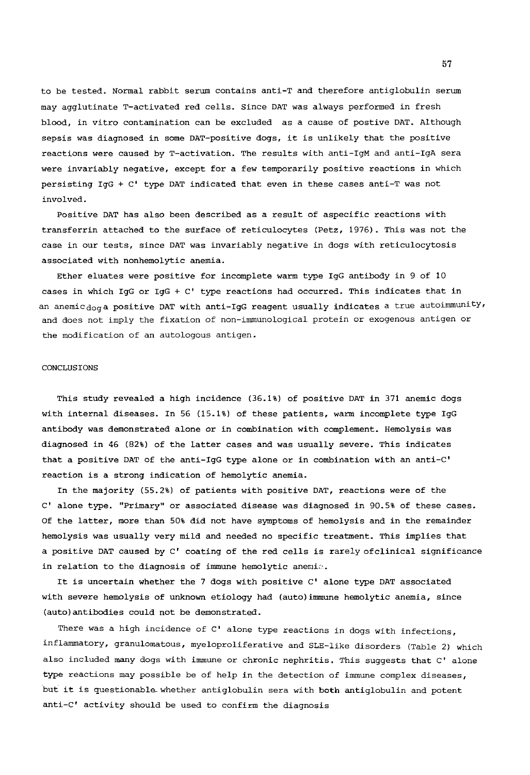to be tested. Normal rabbit serum contains anti-T and therefore antiglobulin serum may agglutinate T-activated red cells. Since DAT was always performed in fresh blood, in vitro contamination can be excluded as a cause of postive DAT. Although sepsis was diagnosed in some DAT-positive dogs, it is unlikely that the positive reactions were caused by T-activation. The results with anti-IgM and anti-IgA sera were invariably negative, except for a few temporarily positive reactions in which persisting IgG + C' type DAT indicated that even in these cases anti-T was not involved.

Positive DAT has also been described as a result of aspecific reactions with transferrin attached to the surface of reticulocytes (Petz, 1976). This was not the case in our tests, since DAT was invariably negative in dogs with reticulocytosis associated with nonhemolytic anemia.

Ether eluates were positive for incomplete warm type IgG antibody in 9 of I0 cases in which IgG or IgG + C' type reactions had occurred. This indicates that in an anemic $_{\rm dog}$ a positive DAT with anti-IgG reagent usually indicates a true autoimmunity, and does not imply the fixation of non-immunological protein or exogenous antigen or the modification of an autologous antigen.

### CONCLUSIONS

This study revealed a high incidence (36.1%) of positive DAT in 371 anemic dogs with internal diseases. In 56 (15.1%) of these patients, warm incomplete type IgG antibody was demonstrated alone or in combination with complement. Hemolysis was diagnosed in 46 (82%) of the latter cases and was usually severe. This indicates that a positive DAT of the anti-IgG type alone or in combination with an anti-C' reaction is a strong indication of hemolytic anemia.

In the majority (55.2%) of patients with positive DAT, reactions were of the C' alone type. "Primary" or associated disease was diagnosed in 90.5% of these cases. Of the latter, more than 50% did not have symptoms of hemolysis and in the remainder hemolysis was usually very mild and needed no specific treatment. This implies that a positive DAT caused by C' coating of the red cells is rarely ofclinical significance in relation to the diagnosis of immune hemolytic anemia.

It is uncertain whether the 7 dogs with positive C' alone type DAT associated with severe hemolysis of unknown etiology had (auto)immune hemolytic anemia, since (auto)antibodies could not be demonstrated.

There was a high incidence of C' alone type reactions in dogs with infections, inflammatory, granulomatous, myeloproliferative and SLE-like disorders (Table 2) which also included many dogs with immune or chronic nephritis. This suggests that C' alone type reactions may possible be of help in the detection of immune complex diseases, but it is questionable whether antiglobulin sera with both antiglobulin and potent anti-C' activity should be used to confirm the diagnosis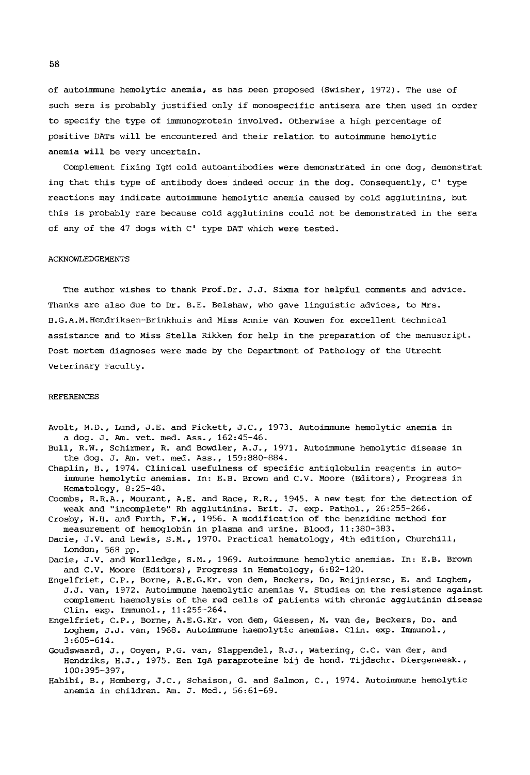of autoimmune hemolytic anemia, as has been proposed (Swisher, 1972). The use of such sera is probably justified only if monospecific antisera are then used in order to specify the type of immunoprotein involved. Otherwise a high percentage of positive DATs will be encountered and their relation to autoimmune hemolytic anemia will be very uncertain.

Complement fixing IgM cold autoantibodies were demonstrated in one dog, demonstrat ing that this type of antibody does indeed occur in the dog. Consequently, C' type reactions may indicate autoimmune hemolytic anemia caused by cold agglutinins, but this is probably rare because cold agglutinins could not be demonstrated in the sera of any of the 47 dogs with C' type DAT which were tested.

#### ACKNOWLEDGEMENTS

The author wishes to thank Prof. Dr. J.J. Sixma for helpful comments and advice. Thanks are also due to Dr. B.E. Belshaw, who gave linguistic advices, to Mrs. B.G.A.M. Hendriksen-Brinkhuis and Miss Annie van Kouwen for excellent technical assistance and to Miss Stella Rikken for help in the preparation of the manuscript. Post mortem diagnoses were made by the Department of Pathology of the Utrecht Veterinary Faculty.

#### REFERENCES

- Avolt, M.D., Lund, J.E. and Pickett, J.C., 1973. Autoimmune hemolytic anemia in a dog. J. Am. vet. med. Ass., 162:45-46.
- Bull, R.W., Schirmer, R. and Bowdler, A.J., 1971. Autoimmune hemolytic disease in the dog. J. Am. vet. med. Ass., 159:880-884.
- Chaplin, H., 1974. Clinical usefulness of specific antiglobulin reagents in autoimmune hemolytic anemias. In: E.B. Brown and C.V. Moore (Editors), Progress in Hematology, 8:25-48.
- Coombs, R.R.A., Mourant, A.E. and Race, R.R., 1945. A new test for the detection of weak and "incomplete" Rh agglutinins. Brit. J. exp. Pathol., 26:255-266.
- Crosby, W.H. and Furth, F.W., 1956. A modification of the benzidine method for measurement of hemoglobin in plasma and urine. Blood, 11:380-383.
- Dacie, J.V. and Lewis, S.M., 1970. Practical hematology, 4th edition, Churchill, London, 568 pp.
- Daeie, J.V. and Worlledge, S.M., 1969. Autoirmnune hemolytic anemias. In: E.B. Brown and C.V. Moore (Editors), Progress in Hematology, 6:82-120.
- Engelfriet, C.P., Borne, A.E.G.Kr. von dem, Beckers, Do, Reijnierse, E. and Loghem, J.J. van, 1972. Autoimmune haemolytic anemias V. Studies on the resistence against complement haemolysis of the red cells of patients with chronic agglutinin disease Clin. exp. Irmmunol., 11:255-264.
- Engelfriet, C.P., Borne, A.E.G.Kr. yon dem, Giessen, M. van de, Beckers, Do. and Loghem, J.J. van, 1968. Autoimmune haemolytic anemias. Clin. exp. Immunol., 3:605-614.
- Goudswaard, J., Ooyen, P.G. van, Slappendel, R.J., Watering, C.C. van der, and Hendriks, H.J., 1975. Een IgA paraproteine bij de hond. Tijdschr. Diergeneesk., 100:395-397,
- Habibi, B., Homberg, J.C., Schaison, G. and Salmon, C., 1974. Autoimmune hemolytic anemia in children. Am. J. Med., 56:61-69.